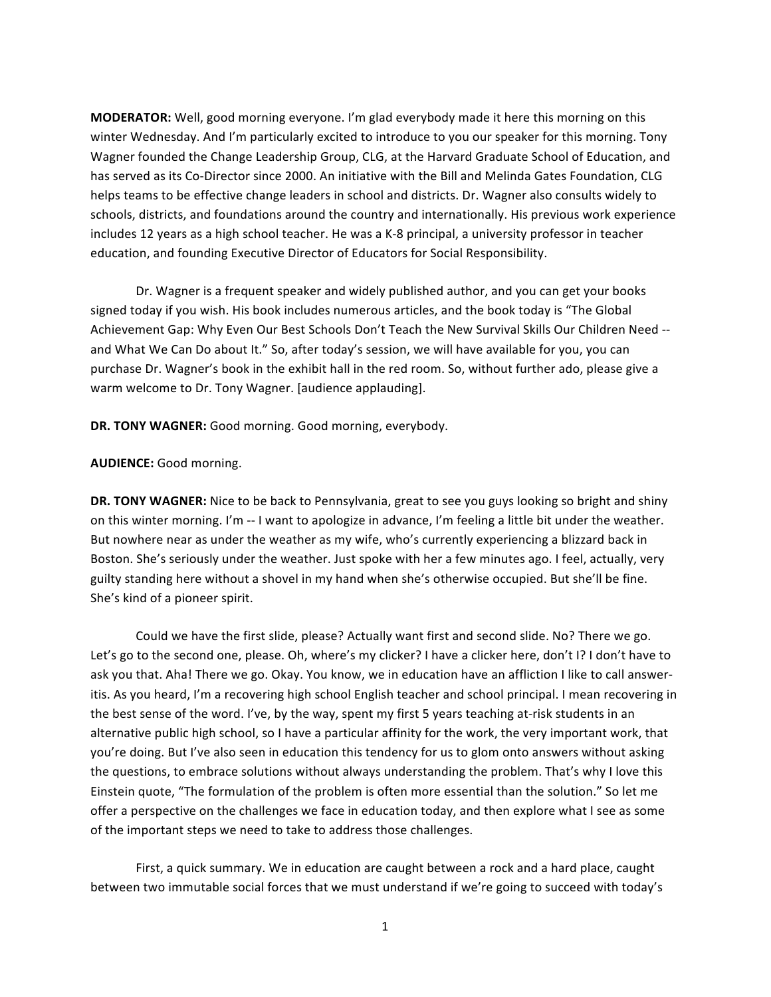**MODERATOR:** Well, good morning everyone. I'm glad everybody made it here this morning on this winter Wednesday. And I'm particularly excited to introduce to you our speaker for this morning. Tony Wagner founded the Change Leadership Group, CLG, at the Harvard Graduate School of Education, and has served as its Co-Director since 2000. An initiative with the Bill and Melinda Gates Foundation, CLG helps teams to be effective change leaders in school and districts. Dr. Wagner also consults widely to schools, districts, and foundations around the country and internationally. His previous work experience includes 12 years as a high school teacher. He was a K-8 principal, a university professor in teacher education, and founding Executive Director of Educators for Social Responsibility.

Dr. Wagner is a frequent speaker and widely published author, and you can get your books signed today if you wish. His book includes numerous articles, and the book today is "The Global Achievement Gap: Why Even Our Best Schools Don't Teach the New Survival Skills Our Children Need -and What We Can Do about It." So, after today's session, we will have available for you, you can purchase Dr. Wagner's book in the exhibit hall in the red room. So, without further ado, please give a warm welcome to Dr. Tony Wagner. [audience applauding].

DR. TONY WAGNER: Good morning. Good morning, everybody.

## **AUDIENCE:** Good morning.

**DR. TONY WAGNER:** Nice to be back to Pennsylvania, great to see you guys looking so bright and shiny on this winter morning. I'm -- I want to apologize in advance, I'm feeling a little bit under the weather. But nowhere near as under the weather as my wife, who's currently experiencing a blizzard back in Boston. She's seriously under the weather. Just spoke with her a few minutes ago. I feel, actually, very guilty standing here without a shovel in my hand when she's otherwise occupied. But she'll be fine. She's kind of a pioneer spirit.

Could we have the first slide, please? Actually want first and second slide. No? There we go. Let's go to the second one, please. Oh, where's my clicker? I have a clicker here, don't I? I don't have to ask you that. Aha! There we go. Okay. You know, we in education have an affliction I like to call answeritis. As you heard, I'm a recovering high school English teacher and school principal. I mean recovering in the best sense of the word. I've, by the way, spent my first 5 years teaching at-risk students in an alternative public high school, so I have a particular affinity for the work, the very important work, that you're doing. But I've also seen in education this tendency for us to glom onto answers without asking the questions, to embrace solutions without always understanding the problem. That's why I love this Einstein quote, "The formulation of the problem is often more essential than the solution." So let me offer a perspective on the challenges we face in education today, and then explore what I see as some of the important steps we need to take to address those challenges.

First, a quick summary. We in education are caught between a rock and a hard place, caught between two immutable social forces that we must understand if we're going to succeed with today's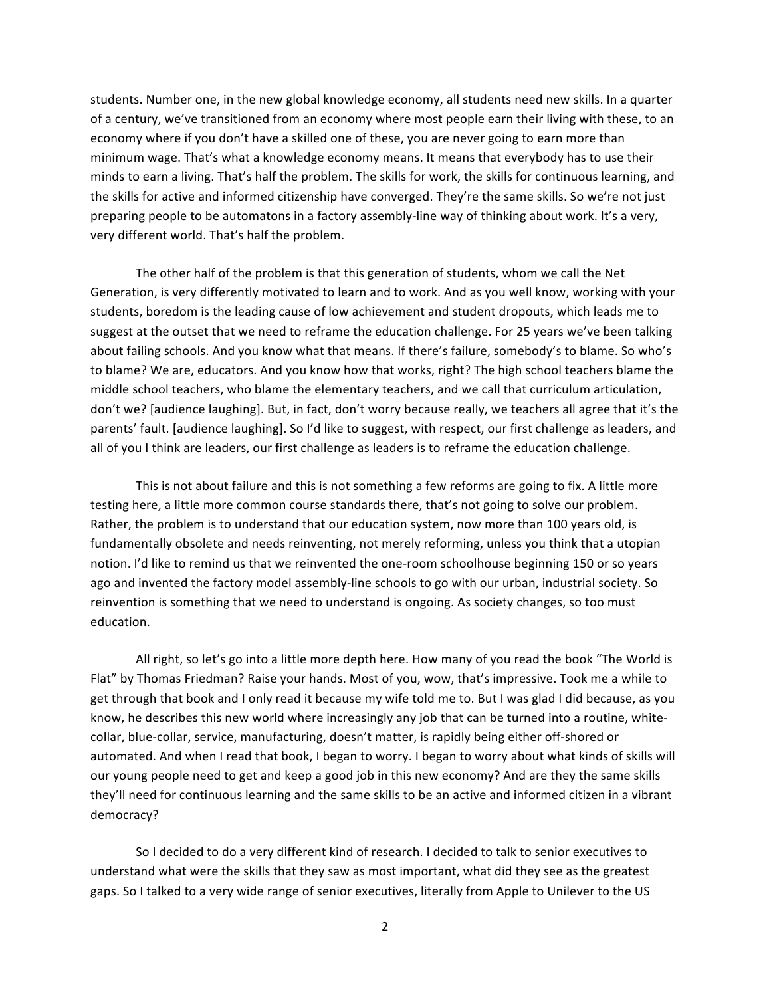students. Number one, in the new global knowledge economy, all students need new skills. In a quarter of a century, we've transitioned from an economy where most people earn their living with these, to an economy where if you don't have a skilled one of these, you are never going to earn more than minimum wage. That's what a knowledge economy means. It means that everybody has to use their minds to earn a living. That's half the problem. The skills for work, the skills for continuous learning, and the skills for active and informed citizenship have converged. They're the same skills. So we're not just preparing people to be automatons in a factory assembly-line way of thinking about work. It's a very, very different world. That's half the problem.

The other half of the problem is that this generation of students, whom we call the Net Generation, is very differently motivated to learn and to work. And as you well know, working with your students, boredom is the leading cause of low achievement and student dropouts, which leads me to suggest at the outset that we need to reframe the education challenge. For 25 years we've been talking about failing schools. And you know what that means. If there's failure, somebody's to blame. So who's to blame? We are, educators. And you know how that works, right? The high school teachers blame the middle school teachers, who blame the elementary teachers, and we call that curriculum articulation, don't we? [audience laughing]. But, in fact, don't worry because really, we teachers all agree that it's the parents' fault. [audience laughing]. So I'd like to suggest, with respect, our first challenge as leaders, and all of you I think are leaders, our first challenge as leaders is to reframe the education challenge.

This is not about failure and this is not something a few reforms are going to fix. A little more testing here, a little more common course standards there, that's not going to solve our problem. Rather, the problem is to understand that our education system, now more than 100 years old, is fundamentally obsolete and needs reinventing, not merely reforming, unless you think that a utopian notion. I'd like to remind us that we reinvented the one-room schoolhouse beginning 150 or so years ago and invented the factory model assembly-line schools to go with our urban, industrial society. So reinvention is something that we need to understand is ongoing. As society changes, so too must education.

All right, so let's go into a little more depth here. How many of you read the book "The World is" Flat" by Thomas Friedman? Raise your hands. Most of you, wow, that's impressive. Took me a while to get through that book and I only read it because my wife told me to. But I was glad I did because, as you know, he describes this new world where increasingly any job that can be turned into a routine, whitecollar, blue-collar, service, manufacturing, doesn't matter, is rapidly being either off-shored or automated. And when I read that book, I began to worry. I began to worry about what kinds of skills will our young people need to get and keep a good job in this new economy? And are they the same skills they'll need for continuous learning and the same skills to be an active and informed citizen in a vibrant democracy?

So I decided to do a very different kind of research. I decided to talk to senior executives to understand what were the skills that they saw as most important, what did they see as the greatest gaps. So I talked to a very wide range of senior executives, literally from Apple to Unilever to the US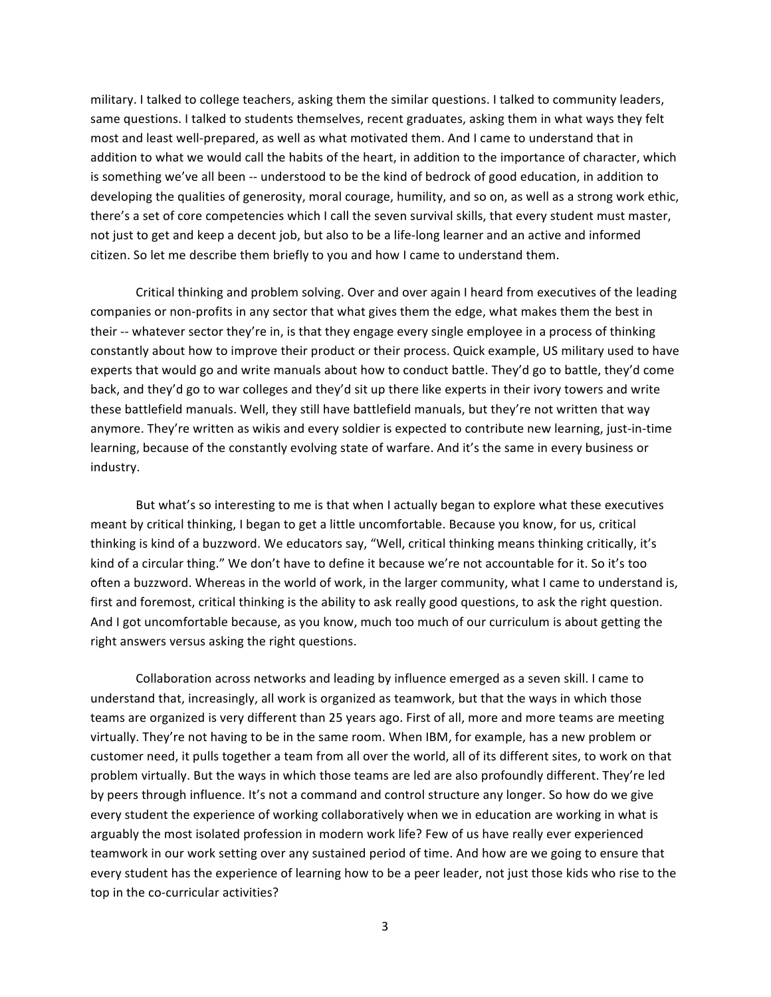military. I talked to college teachers, asking them the similar questions. I talked to community leaders, same questions. I talked to students themselves, recent graduates, asking them in what ways they felt most and least well-prepared, as well as what motivated them. And I came to understand that in addition to what we would call the habits of the heart, in addition to the importance of character, which is something we've all been -- understood to be the kind of bedrock of good education, in addition to developing the qualities of generosity, moral courage, humility, and so on, as well as a strong work ethic, there's a set of core competencies which I call the seven survival skills, that every student must master, not just to get and keep a decent job, but also to be a life-long learner and an active and informed citizen. So let me describe them briefly to you and how I came to understand them.

Critical thinking and problem solving. Over and over again I heard from executives of the leading companies or non-profits in any sector that what gives them the edge, what makes them the best in their -- whatever sector they're in, is that they engage every single employee in a process of thinking constantly about how to improve their product or their process. Quick example, US military used to have experts that would go and write manuals about how to conduct battle. They'd go to battle, they'd come back, and they'd go to war colleges and they'd sit up there like experts in their ivory towers and write these battlefield manuals. Well, they still have battlefield manuals, but they're not written that way anymore. They're written as wikis and every soldier is expected to contribute new learning, just-in-time learning, because of the constantly evolving state of warfare. And it's the same in every business or industry.

But what's so interesting to me is that when I actually began to explore what these executives meant by critical thinking, I began to get a little uncomfortable. Because you know, for us, critical thinking is kind of a buzzword. We educators say, "Well, critical thinking means thinking critically, it's kind of a circular thing." We don't have to define it because we're not accountable for it. So it's too often a buzzword. Whereas in the world of work, in the larger community, what I came to understand is, first and foremost, critical thinking is the ability to ask really good questions, to ask the right question. And I got uncomfortable because, as you know, much too much of our curriculum is about getting the right answers versus asking the right questions.

Collaboration across networks and leading by influence emerged as a seven skill. I came to understand that, increasingly, all work is organized as teamwork, but that the ways in which those teams are organized is very different than 25 years ago. First of all, more and more teams are meeting virtually. They're not having to be in the same room. When IBM, for example, has a new problem or customer need, it pulls together a team from all over the world, all of its different sites, to work on that problem virtually. But the ways in which those teams are led are also profoundly different. They're led by peers through influence. It's not a command and control structure any longer. So how do we give every student the experience of working collaboratively when we in education are working in what is arguably the most isolated profession in modern work life? Few of us have really ever experienced teamwork in our work setting over any sustained period of time. And how are we going to ensure that every student has the experience of learning how to be a peer leader, not just those kids who rise to the top in the co-curricular activities?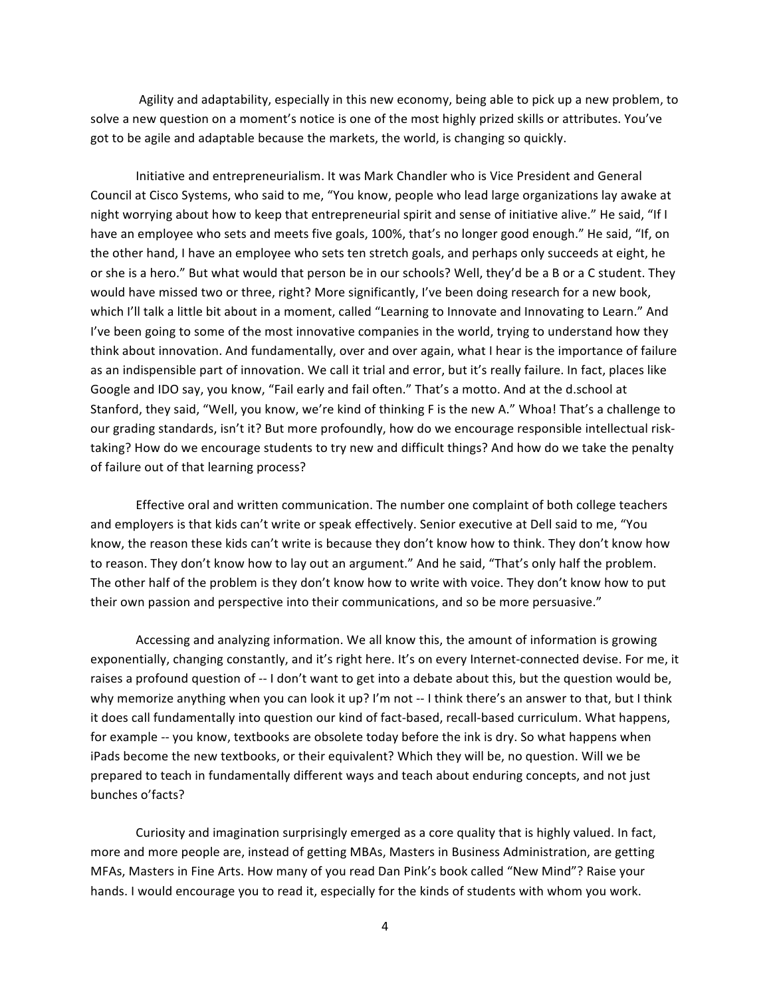Agility and adaptability, especially in this new economy, being able to pick up a new problem, to solve a new question on a moment's notice is one of the most highly prized skills or attributes. You've got to be agile and adaptable because the markets, the world, is changing so quickly.

Initiative and entrepreneurialism. It was Mark Chandler who is Vice President and General Council at Cisco Systems, who said to me, "You know, people who lead large organizations lay awake at night worrying about how to keep that entrepreneurial spirit and sense of initiative alive." He said, "If I have an employee who sets and meets five goals, 100%, that's no longer good enough." He said, "If, on the other hand, I have an employee who sets ten stretch goals, and perhaps only succeeds at eight, he or she is a hero." But what would that person be in our schools? Well, they'd be a B or a C student. They would have missed two or three, right? More significantly, I've been doing research for a new book, which I'll talk a little bit about in a moment, called "Learning to Innovate and Innovating to Learn." And I've been going to some of the most innovative companies in the world, trying to understand how they" think about innovation. And fundamentally, over and over again, what I hear is the importance of failure as an indispensible part of innovation. We call it trial and error, but it's really failure. In fact, places like Google and IDO say, you know, "Fail early and fail often." That's a motto. And at the d.school at Stanford, they said, "Well, you know, we're kind of thinking F is the new A." Whoa! That's a challenge to our grading standards, isn't it? But more profoundly, how do we encourage responsible intellectual risktaking? How do we encourage students to try new and difficult things? And how do we take the penalty of failure out of that learning process?

Effective oral and written communication. The number one complaint of both college teachers and employers is that kids can't write or speak effectively. Senior executive at Dell said to me, "You" know, the reason these kids can't write is because they don't know how to think. They don't know how to reason. They don't know how to lay out an argument." And he said, "That's only half the problem. The other half of the problem is they don't know how to write with voice. They don't know how to put their own passion and perspective into their communications, and so be more persuasive."

Accessing and analyzing information. We all know this, the amount of information is growing exponentially, changing constantly, and it's right here. It's on every Internet-connected devise. For me, it raises a profound question of -- I don't want to get into a debate about this, but the question would be, why memorize anything when you can look it up? I'm not -- I think there's an answer to that, but I think it does call fundamentally into question our kind of fact-based, recall-based curriculum. What happens, for example -- you know, textbooks are obsolete today before the ink is dry. So what happens when iPads become the new textbooks, or their equivalent? Which they will be, no question. Will we be prepared to teach in fundamentally different ways and teach about enduring concepts, and not just bunches o'facts?

Curiosity and imagination surprisingly emerged as a core quality that is highly valued. In fact, more and more people are, instead of getting MBAs, Masters in Business Administration, are getting MFAs, Masters in Fine Arts. How many of you read Dan Pink's book called "New Mind"? Raise your hands. I would encourage you to read it, especially for the kinds of students with whom you work.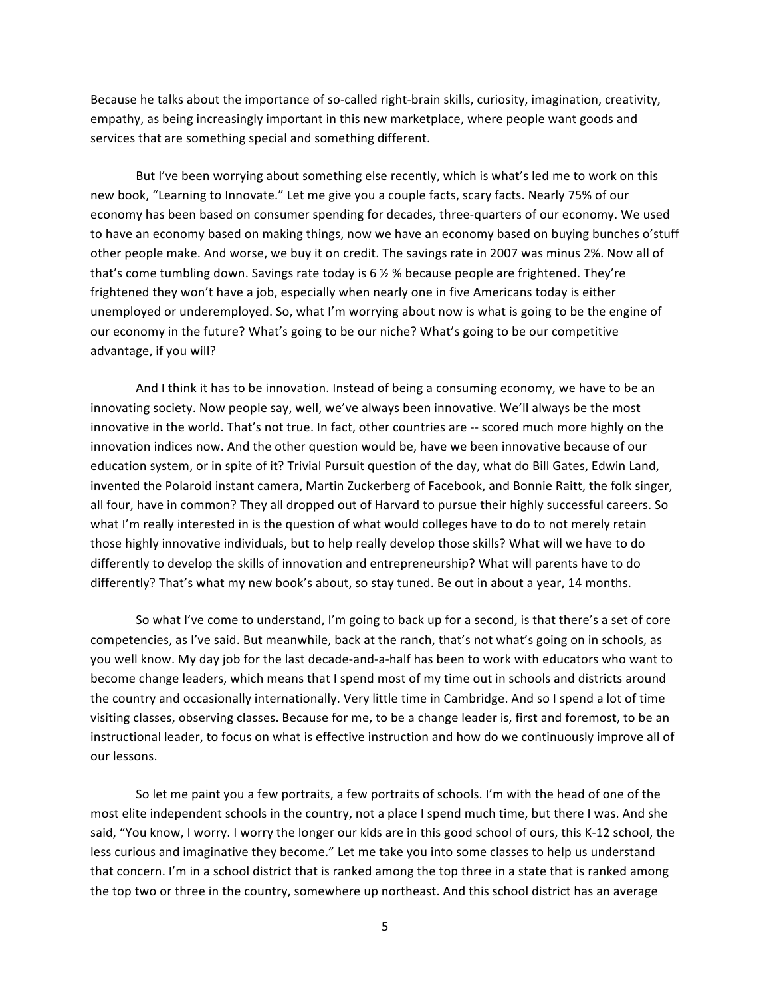Because he talks about the importance of so-called right-brain skills, curiosity, imagination, creativity, empathy, as being increasingly important in this new marketplace, where people want goods and services that are something special and something different.

But I've been worrying about something else recently, which is what's led me to work on this new book, "Learning to Innovate." Let me give you a couple facts, scary facts. Nearly 75% of our economy has been based on consumer spending for decades, three-quarters of our economy. We used to have an economy based on making things, now we have an economy based on buying bunches o'stuff other people make. And worse, we buy it on credit. The savings rate in 2007 was minus 2%. Now all of that's come tumbling down. Savings rate today is 6  $\frac{1}{2}$  % because people are frightened. They're frightened they won't have a job, especially when nearly one in five Americans today is either unemployed or underemployed. So, what I'm worrying about now is what is going to be the engine of our economy in the future? What's going to be our niche? What's going to be our competitive advantage, if you will?

And I think it has to be innovation. Instead of being a consuming economy, we have to be an innovating society. Now people say, well, we've always been innovative. We'll always be the most innovative in the world. That's not true. In fact, other countries are -- scored much more highly on the innovation indices now. And the other question would be, have we been innovative because of our education system, or in spite of it? Trivial Pursuit question of the day, what do Bill Gates, Edwin Land, invented the Polaroid instant camera, Martin Zuckerberg of Facebook, and Bonnie Raitt, the folk singer, all four, have in common? They all dropped out of Harvard to pursue their highly successful careers. So what I'm really interested in is the question of what would colleges have to do to not merely retain those highly innovative individuals, but to help really develop those skills? What will we have to do differently to develop the skills of innovation and entrepreneurship? What will parents have to do differently? That's what my new book's about, so stay tuned. Be out in about a year, 14 months.

So what I've come to understand, I'm going to back up for a second, is that there's a set of core competencies, as I've said. But meanwhile, back at the ranch, that's not what's going on in schools, as you well know. My day job for the last decade-and-a-half has been to work with educators who want to become change leaders, which means that I spend most of my time out in schools and districts around the country and occasionally internationally. Very little time in Cambridge. And so I spend a lot of time visiting classes, observing classes. Because for me, to be a change leader is, first and foremost, to be an instructional leader, to focus on what is effective instruction and how do we continuously improve all of our lessons.

So let me paint you a few portraits, a few portraits of schools. I'm with the head of one of the most elite independent schools in the country, not a place I spend much time, but there I was. And she said, "You know, I worry. I worry the longer our kids are in this good school of ours, this K-12 school, the less curious and imaginative they become." Let me take you into some classes to help us understand that concern. I'm in a school district that is ranked among the top three in a state that is ranked among the top two or three in the country, somewhere up northeast. And this school district has an average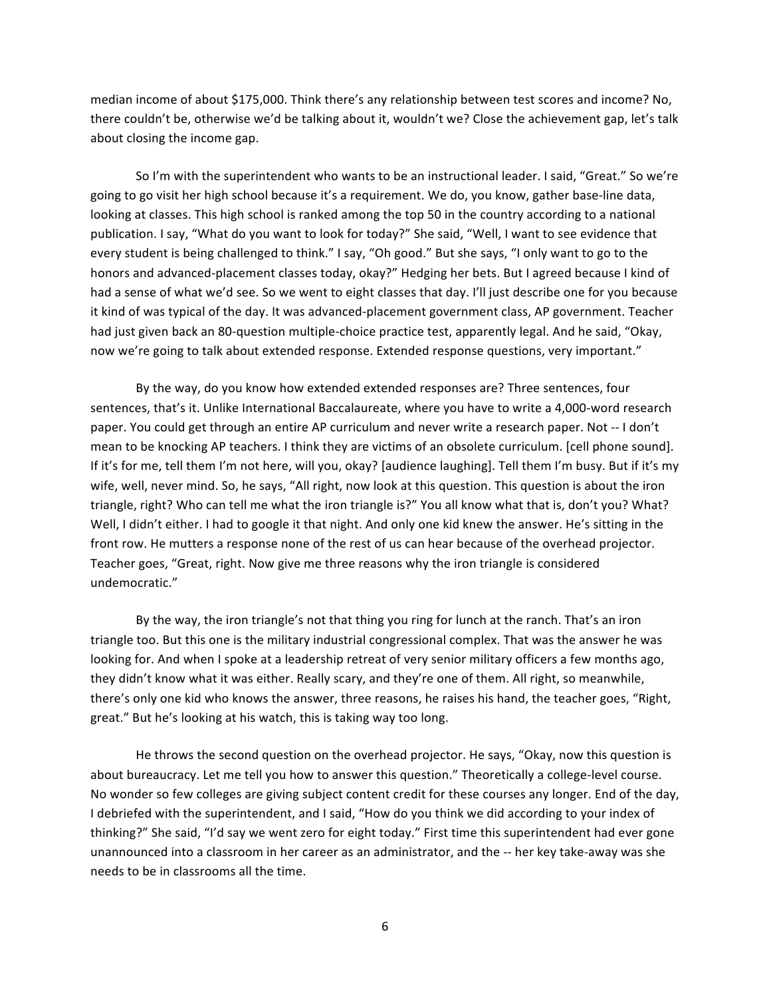median income of about \$175,000. Think there's any relationship between test scores and income? No, there couldn't be, otherwise we'd be talking about it, wouldn't we? Close the achievement gap, let's talk about closing the income gap.

So I'm with the superintendent who wants to be an instructional leader. I said, "Great." So we're going to go visit her high school because it's a requirement. We do, you know, gather base-line data, looking at classes. This high school is ranked among the top 50 in the country according to a national publication. I say, "What do you want to look for today?" She said, "Well, I want to see evidence that every student is being challenged to think." I say, "Oh good." But she says, "I only want to go to the honors and advanced-placement classes today, okay?" Hedging her bets. But I agreed because I kind of had a sense of what we'd see. So we went to eight classes that day. I'll just describe one for you because it kind of was typical of the day. It was advanced-placement government class, AP government. Teacher had just given back an 80-question multiple-choice practice test, apparently legal. And he said, "Okay, now we're going to talk about extended response. Extended response questions, very important."

By the way, do you know how extended extended responses are? Three sentences, four sentences, that's it. Unlike International Baccalaureate, where you have to write a 4,000-word research paper. You could get through an entire AP curriculum and never write a research paper. Not -- I don't mean to be knocking AP teachers. I think they are victims of an obsolete curriculum. [cell phone sound]. If it's for me, tell them I'm not here, will you, okay? [audience laughing]. Tell them I'm busy. But if it's my wife, well, never mind. So, he says, "All right, now look at this question. This question is about the iron triangle, right? Who can tell me what the iron triangle is?" You all know what that is, don't you? What? Well, I didn't either. I had to google it that night. And only one kid knew the answer. He's sitting in the front row. He mutters a response none of the rest of us can hear because of the overhead projector. Teacher goes, "Great, right. Now give me three reasons why the iron triangle is considered undemocratic."

By the way, the iron triangle's not that thing you ring for lunch at the ranch. That's an iron triangle too. But this one is the military industrial congressional complex. That was the answer he was looking for. And when I spoke at a leadership retreat of very senior military officers a few months ago, they didn't know what it was either. Really scary, and they're one of them. All right, so meanwhile, there's only one kid who knows the answer, three reasons, he raises his hand, the teacher goes, "Right, great." But he's looking at his watch, this is taking way too long.

He throws the second question on the overhead projector. He says, "Okay, now this question is" about bureaucracy. Let me tell you how to answer this question." Theoretically a college-level course. No wonder so few colleges are giving subject content credit for these courses any longer. End of the day, I debriefed with the superintendent, and I said, "How do you think we did according to your index of thinking?" She said, "I'd say we went zero for eight today." First time this superintendent had ever gone unannounced into a classroom in her career as an administrator, and the -- her key take-away was she needs to be in classrooms all the time.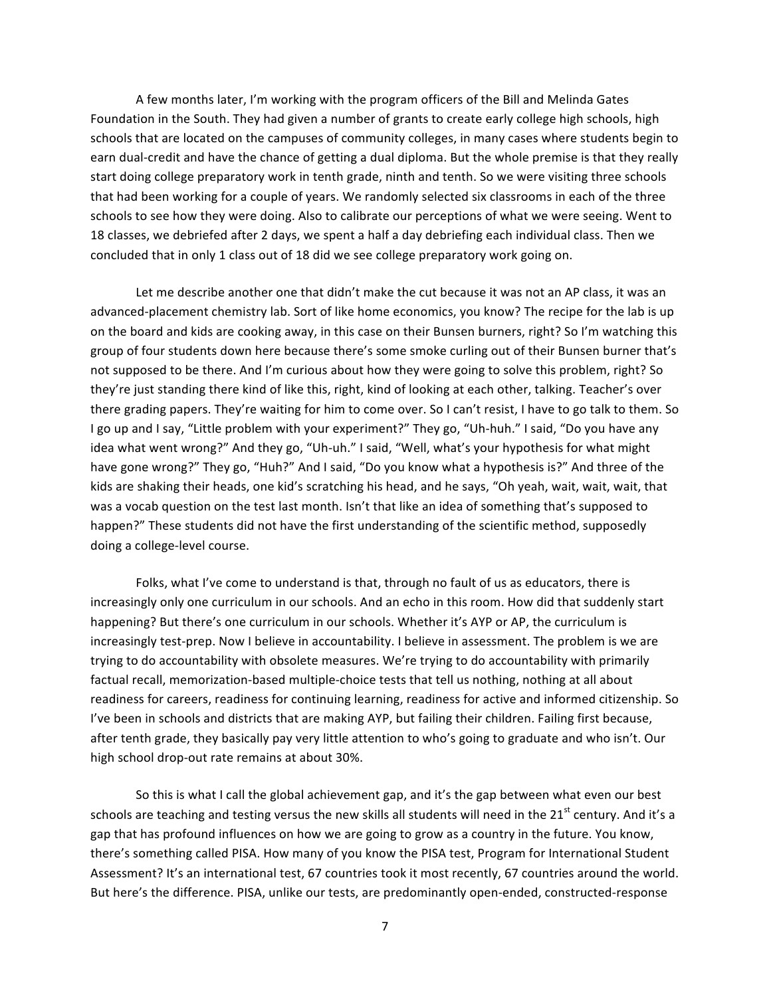A few months later, I'm working with the program officers of the Bill and Melinda Gates Foundation in the South. They had given a number of grants to create early college high schools, high schools that are located on the campuses of community colleges, in many cases where students begin to earn dual-credit and have the chance of getting a dual diploma. But the whole premise is that they really start doing college preparatory work in tenth grade, ninth and tenth. So we were visiting three schools that had been working for a couple of years. We randomly selected six classrooms in each of the three schools to see how they were doing. Also to calibrate our perceptions of what we were seeing. Went to 18 classes, we debriefed after 2 days, we spent a half a day debriefing each individual class. Then we concluded that in only 1 class out of 18 did we see college preparatory work going on.

Let me describe another one that didn't make the cut because it was not an AP class, it was an advanced-placement chemistry lab. Sort of like home economics, you know? The recipe for the lab is up on the board and kids are cooking away, in this case on their Bunsen burners, right? So I'm watching this group of four students down here because there's some smoke curling out of their Bunsen burner that's not supposed to be there. And I'm curious about how they were going to solve this problem, right? So they're just standing there kind of like this, right, kind of looking at each other, talking. Teacher's over there grading papers. They're waiting for him to come over. So I can't resist, I have to go talk to them. So I go up and I say, "Little problem with your experiment?" They go, "Uh-huh." I said, "Do you have any idea what went wrong?" And they go, "Uh-uh." I said, "Well, what's your hypothesis for what might have gone wrong?" They go, "Huh?" And I said, "Do you know what a hypothesis is?" And three of the kids are shaking their heads, one kid's scratching his head, and he says, "Oh yeah, wait, wait, wait, that was a vocab question on the test last month. Isn't that like an idea of something that's supposed to happen?" These students did not have the first understanding of the scientific method, supposedly doing a college-level course.

Folks, what I've come to understand is that, through no fault of us as educators, there is increasingly only one curriculum in our schools. And an echo in this room. How did that suddenly start happening? But there's one curriculum in our schools. Whether it's AYP or AP, the curriculum is increasingly test-prep. Now I believe in accountability. I believe in assessment. The problem is we are trying to do accountability with obsolete measures. We're trying to do accountability with primarily factual recall, memorization-based multiple-choice tests that tell us nothing, nothing at all about readiness for careers, readiness for continuing learning, readiness for active and informed citizenship. So I've been in schools and districts that are making AYP, but failing their children. Failing first because, after tenth grade, they basically pay very little attention to who's going to graduate and who isn't. Our high school drop-out rate remains at about 30%.

So this is what I call the global achievement gap, and it's the gap between what even our best schools are teaching and testing versus the new skills all students will need in the 21<sup>st</sup> century. And it's a gap that has profound influences on how we are going to grow as a country in the future. You know, there's something called PISA. How many of you know the PISA test, Program for International Student Assessment? It's an international test, 67 countries took it most recently, 67 countries around the world. But here's the difference. PISA, unlike our tests, are predominantly open-ended, constructed-response

7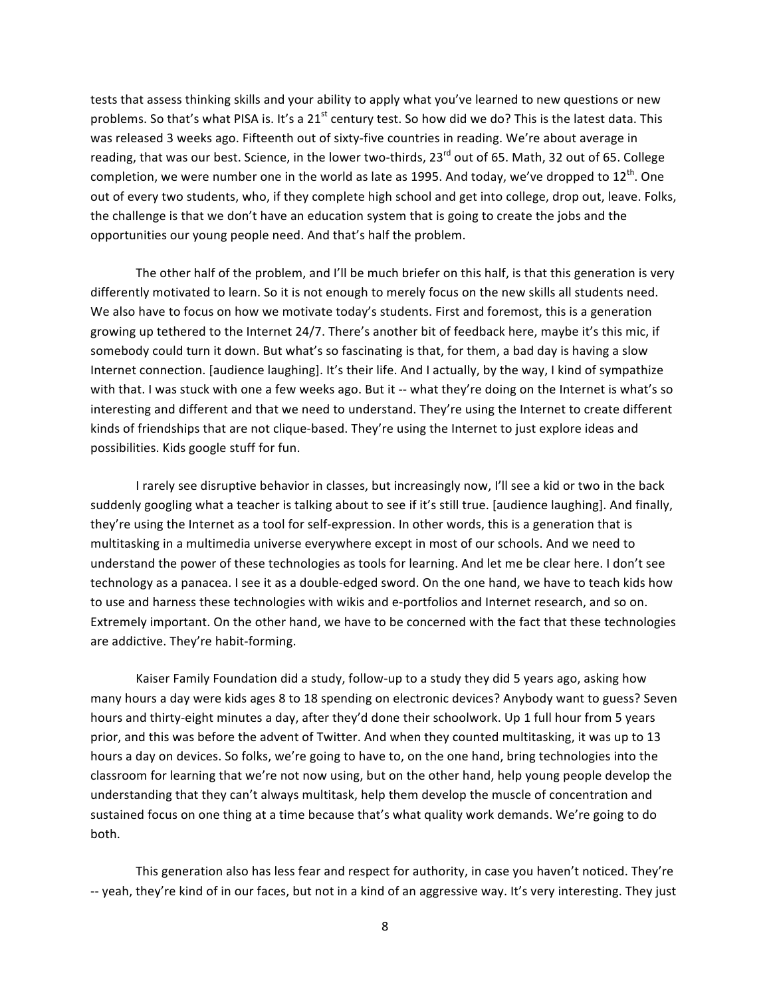tests that assess thinking skills and your ability to apply what you've learned to new questions or new problems. So that's what PISA is. It's a 21<sup>st</sup> century test. So how did we do? This is the latest data. This was released 3 weeks ago. Fifteenth out of sixty-five countries in reading. We're about average in reading, that was our best. Science, in the lower two-thirds, 23<sup>rd</sup> out of 65. Math, 32 out of 65. College completion, we were number one in the world as late as 1995. And today, we've dropped to  $12^{th}$ . One out of every two students, who, if they complete high school and get into college, drop out, leave. Folks, the challenge is that we don't have an education system that is going to create the jobs and the opportunities our young people need. And that's half the problem.

The other half of the problem, and I'll be much briefer on this half, is that this generation is very differently motivated to learn. So it is not enough to merely focus on the new skills all students need. We also have to focus on how we motivate today's students. First and foremost, this is a generation growing up tethered to the Internet 24/7. There's another bit of feedback here, maybe it's this mic, if somebody could turn it down. But what's so fascinating is that, for them, a bad day is having a slow Internet connection. [audience laughing]. It's their life. And I actually, by the way, I kind of sympathize with that. I was stuck with one a few weeks ago. But it -- what they're doing on the Internet is what's so interesting and different and that we need to understand. They're using the Internet to create different kinds of friendships that are not clique-based. They're using the Internet to just explore ideas and possibilities. Kids google stuff for fun.

I rarely see disruptive behavior in classes, but increasingly now, I'll see a kid or two in the back suddenly googling what a teacher is talking about to see if it's still true. [audience laughing]. And finally, they're using the Internet as a tool for self-expression. In other words, this is a generation that is multitasking in a multimedia universe everywhere except in most of our schools. And we need to understand the power of these technologies as tools for learning. And let me be clear here. I don't see technology as a panacea. I see it as a double-edged sword. On the one hand, we have to teach kids how to use and harness these technologies with wikis and e-portfolios and Internet research, and so on. Extremely important. On the other hand, we have to be concerned with the fact that these technologies are addictive. They're habit-forming.

Kaiser Family Foundation did a study, follow-up to a study they did 5 years ago, asking how many hours a day were kids ages 8 to 18 spending on electronic devices? Anybody want to guess? Seven hours and thirty-eight minutes a day, after they'd done their schoolwork. Up 1 full hour from 5 years prior, and this was before the advent of Twitter. And when they counted multitasking, it was up to 13 hours a day on devices. So folks, we're going to have to, on the one hand, bring technologies into the classroom for learning that we're not now using, but on the other hand, help young people develop the understanding that they can't always multitask, help them develop the muscle of concentration and sustained focus on one thing at a time because that's what quality work demands. We're going to do both.

This generation also has less fear and respect for authority, in case you haven't noticed. They're -- yeah, they're kind of in our faces, but not in a kind of an aggressive way. It's very interesting. They just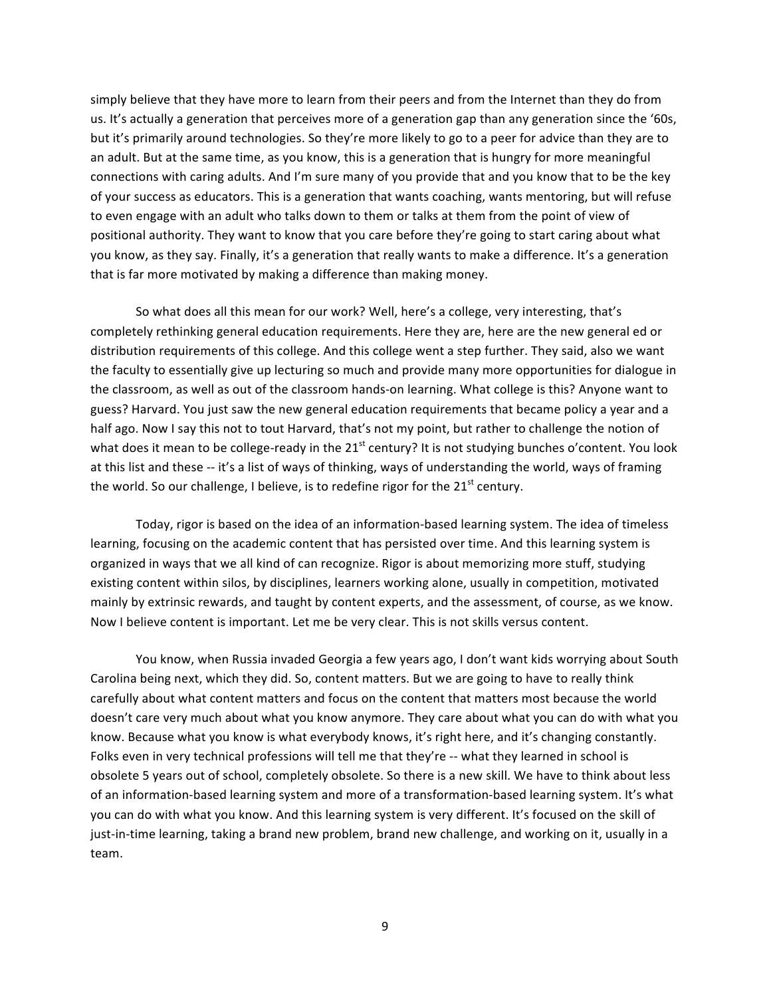simply believe that they have more to learn from their peers and from the Internet than they do from us. It's actually a generation that perceives more of a generation gap than any generation since the '60s, but it's primarily around technologies. So they're more likely to go to a peer for advice than they are to an adult. But at the same time, as you know, this is a generation that is hungry for more meaningful connections with caring adults. And I'm sure many of you provide that and you know that to be the key" of your success as educators. This is a generation that wants coaching, wants mentoring, but will refuse to even engage with an adult who talks down to them or talks at them from the point of view of positional authority. They want to know that you care before they're going to start caring about what you know, as they say. Finally, it's a generation that really wants to make a difference. It's a generation that is far more motivated by making a difference than making money.

So what does all this mean for our work? Well, here's a college, very interesting, that's completely rethinking general education requirements. Here they are, here are the new general ed or distribution requirements of this college. And this college went a step further. They said, also we want the faculty to essentially give up lecturing so much and provide many more opportunities for dialogue in the classroom, as well as out of the classroom hands-on learning. What college is this? Anyone want to guess? Harvard. You just saw the new general education requirements that became policy a year and a half ago. Now I say this not to tout Harvard, that's not my point, but rather to challenge the notion of what does it mean to be college-ready in the  $21<sup>st</sup>$  century? It is not studying bunches o'content. You look at this list and these -- it's a list of ways of thinking, ways of understanding the world, ways of framing the world. So our challenge, I believe, is to redefine rigor for the  $21<sup>st</sup>$  century.

Today, rigor is based on the idea of an information-based learning system. The idea of timeless learning, focusing on the academic content that has persisted over time. And this learning system is organized in ways that we all kind of can recognize. Rigor is about memorizing more stuff, studying existing content within silos, by disciplines, learners working alone, usually in competition, motivated mainly by extrinsic rewards, and taught by content experts, and the assessment, of course, as we know. Now I believe content is important. Let me be very clear. This is not skills versus content.

You know, when Russia invaded Georgia a few years ago, I don't want kids worrying about South Carolina being next, which they did. So, content matters. But we are going to have to really think carefully about what content matters and focus on the content that matters most because the world doesn't care very much about what you know anymore. They care about what you can do with what you know. Because what you know is what everybody knows, it's right here, and it's changing constantly. Folks even in very technical professions will tell me that they're -- what they learned in school is obsolete 5 years out of school, completely obsolete. So there is a new skill. We have to think about less of an information-based learning system and more of a transformation-based learning system. It's what you can do with what you know. And this learning system is very different. It's focused on the skill of just-in-time learning, taking a brand new problem, brand new challenge, and working on it, usually in a team.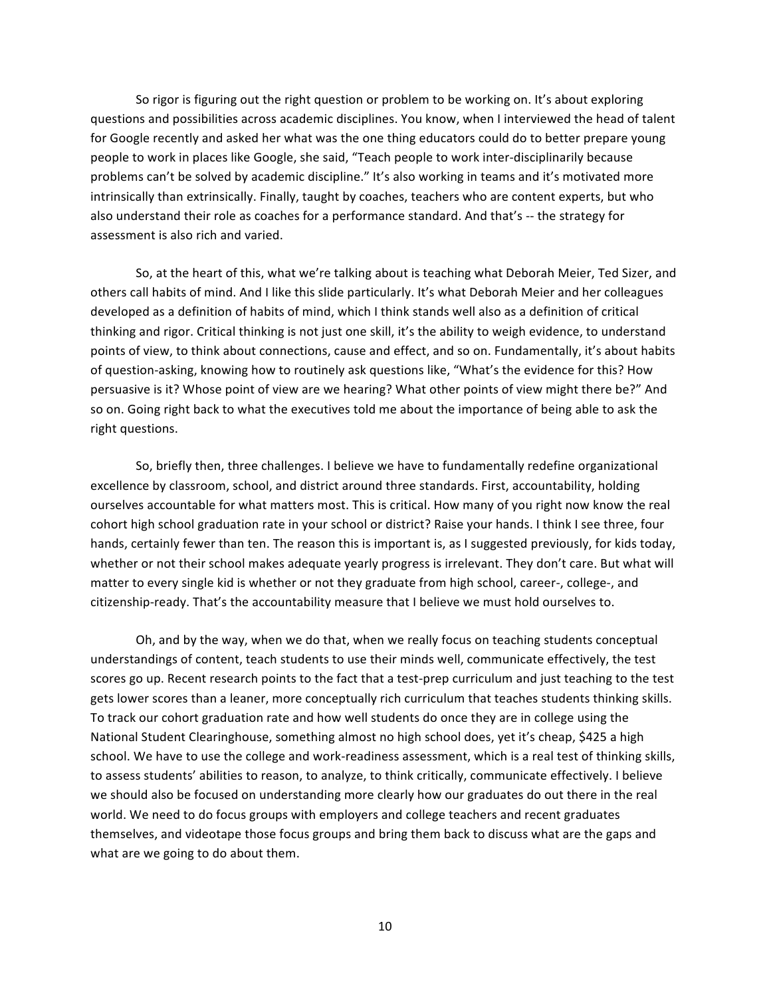So rigor is figuring out the right question or problem to be working on. It's about exploring questions and possibilities across academic disciplines. You know, when I interviewed the head of talent for Google recently and asked her what was the one thing educators could do to better prepare young people to work in places like Google, she said, "Teach people to work inter-disciplinarily because problems can't be solved by academic discipline." It's also working in teams and it's motivated more intrinsically than extrinsically. Finally, taught by coaches, teachers who are content experts, but who also understand their role as coaches for a performance standard. And that's -- the strategy for assessment is also rich and varied.

So, at the heart of this, what we're talking about is teaching what Deborah Meier, Ted Sizer, and others call habits of mind. And I like this slide particularly. It's what Deborah Meier and her colleagues developed as a definition of habits of mind, which I think stands well also as a definition of critical thinking and rigor. Critical thinking is not just one skill, it's the ability to weigh evidence, to understand points of view, to think about connections, cause and effect, and so on. Fundamentally, it's about habits of question-asking, knowing how to routinely ask questions like, "What's the evidence for this? How persuasive is it? Whose point of view are we hearing? What other points of view might there be?" And so on. Going right back to what the executives told me about the importance of being able to ask the right questions.

So, briefly then, three challenges. I believe we have to fundamentally redefine organizational excellence by classroom, school, and district around three standards. First, accountability, holding ourselves accountable for what matters most. This is critical. How many of you right now know the real cohort high school graduation rate in your school or district? Raise your hands. I think I see three, four hands, certainly fewer than ten. The reason this is important is, as I suggested previously, for kids today, whether or not their school makes adequate yearly progress is irrelevant. They don't care. But what will matter to every single kid is whether or not they graduate from high school, career-, college-, and citizenship-ready. That's the accountability measure that I believe we must hold ourselves to.

Oh, and by the way, when we do that, when we really focus on teaching students conceptual understandings of content, teach students to use their minds well, communicate effectively, the test scores go up. Recent research points to the fact that a test-prep curriculum and just teaching to the test gets lower scores than a leaner, more conceptually rich curriculum that teaches students thinking skills. To track our cohort graduation rate and how well students do once they are in college using the National Student Clearinghouse, something almost no high school does, yet it's cheap, \$425 a high school. We have to use the college and work-readiness assessment, which is a real test of thinking skills, to assess students' abilities to reason, to analyze, to think critically, communicate effectively. I believe we should also be focused on understanding more clearly how our graduates do out there in the real world. We need to do focus groups with employers and college teachers and recent graduates themselves, and videotape those focus groups and bring them back to discuss what are the gaps and what are we going to do about them.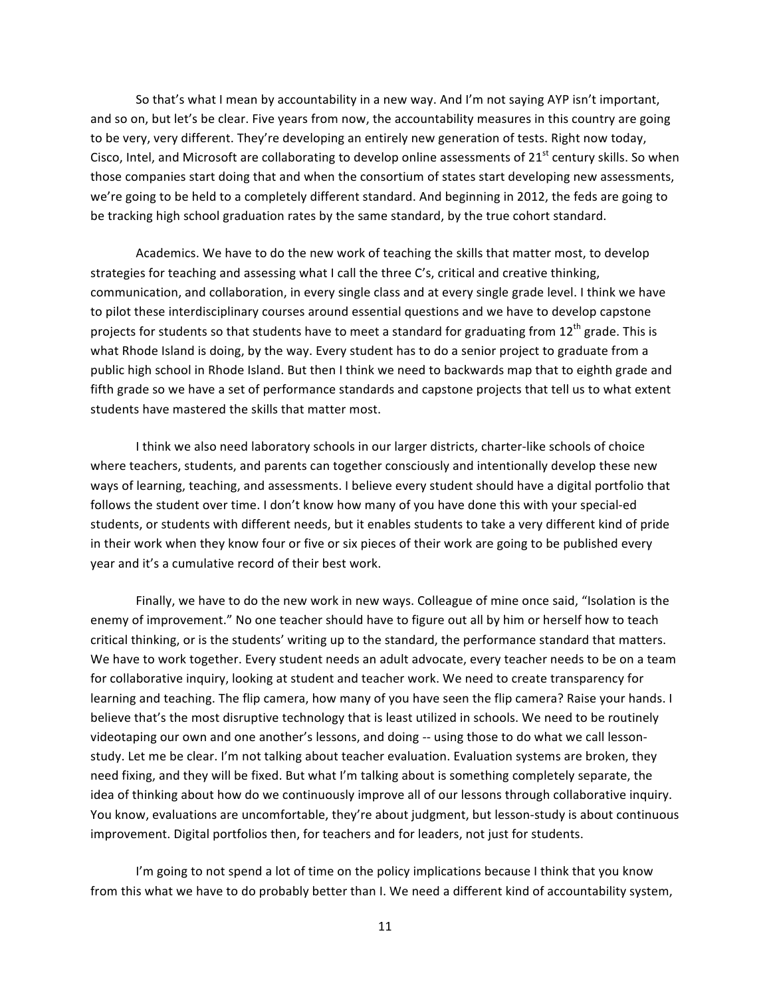So that's what I mean by accountability in a new way. And I'm not saying AYP isn't important, and so on, but let's be clear. Five years from now, the accountability measures in this country are going to be very, very different. They're developing an entirely new generation of tests. Right now today, Cisco, Intel, and Microsoft are collaborating to develop online assessments of 21<sup>st</sup> century skills. So when those companies start doing that and when the consortium of states start developing new assessments, we're going to be held to a completely different standard. And beginning in 2012, the feds are going to be tracking high school graduation rates by the same standard, by the true cohort standard.

Academics. We have to do the new work of teaching the skills that matter most, to develop strategies for teaching and assessing what I call the three C's, critical and creative thinking, communication, and collaboration, in every single class and at every single grade level. I think we have to pilot these interdisciplinary courses around essential questions and we have to develop capstone projects for students so that students have to meet a standard for graduating from 12<sup>th</sup> grade. This is what Rhode Island is doing, by the way. Every student has to do a senior project to graduate from a public high school in Rhode Island. But then I think we need to backwards map that to eighth grade and fifth grade so we have a set of performance standards and capstone projects that tell us to what extent students have mastered the skills that matter most.

I think we also need laboratory schools in our larger districts, charter-like schools of choice where teachers, students, and parents can together consciously and intentionally develop these new ways of learning, teaching, and assessments. I believe every student should have a digital portfolio that follows the student over time. I don't know how many of you have done this with your special-ed students, or students with different needs, but it enables students to take a very different kind of pride in their work when they know four or five or six pieces of their work are going to be published every year and it's a cumulative record of their best work.

Finally, we have to do the new work in new ways. Colleague of mine once said, "Isolation is the enemy of improvement." No one teacher should have to figure out all by him or herself how to teach critical thinking, or is the students' writing up to the standard, the performance standard that matters. We have to work together. Every student needs an adult advocate, every teacher needs to be on a team for collaborative inquiry, looking at student and teacher work. We need to create transparency for learning and teaching. The flip camera, how many of you have seen the flip camera? Raise your hands. I believe that's the most disruptive technology that is least utilized in schools. We need to be routinely videotaping our own and one another's lessons, and doing -- using those to do what we call lessonstudy. Let me be clear. I'm not talking about teacher evaluation. Evaluation systems are broken, they need fixing, and they will be fixed. But what I'm talking about is something completely separate, the idea of thinking about how do we continuously improve all of our lessons through collaborative inquiry. You know, evaluations are uncomfortable, they're about judgment, but lesson-study is about continuous improvement. Digital portfolios then, for teachers and for leaders, not just for students.

I'm going to not spend a lot of time on the policy implications because I think that you know from this what we have to do probably better than I. We need a different kind of accountability system,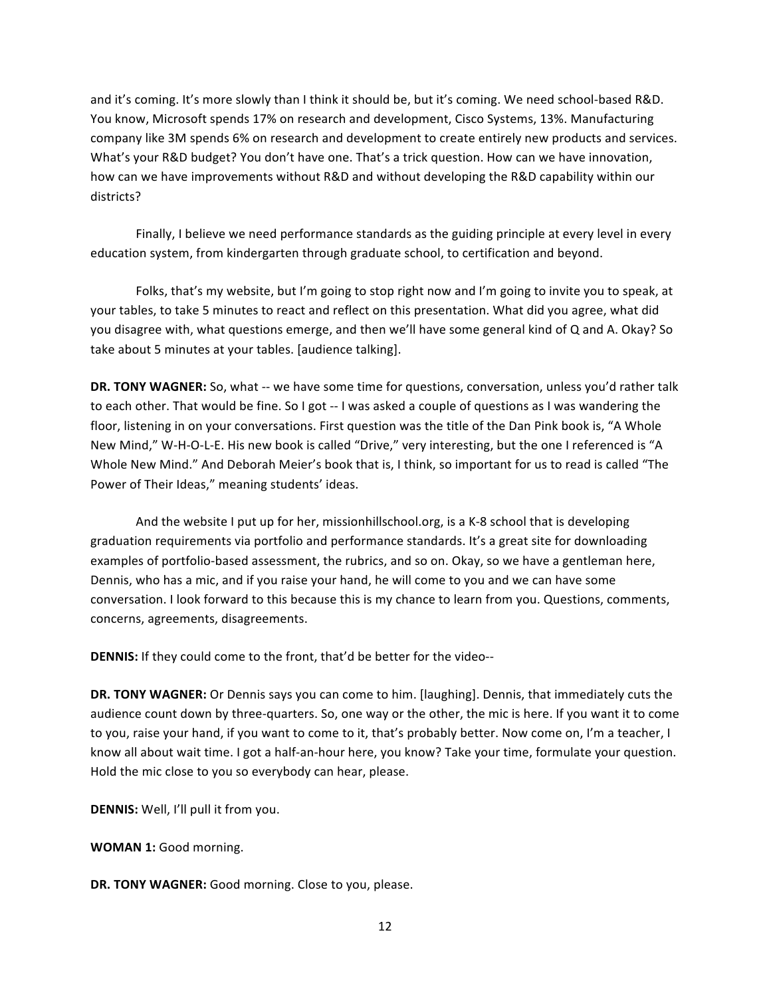and it's coming. It's more slowly than I think it should be, but it's coming. We need school-based R&D. You know, Microsoft spends 17% on research and development, Cisco Systems, 13%. Manufacturing company like 3M spends 6% on research and development to create entirely new products and services. What's your R&D budget? You don't have one. That's a trick question. How can we have innovation, how can we have improvements without R&D and without developing the R&D capability within our districts?

Finally, I believe we need performance standards as the guiding principle at every level in every education system, from kindergarten through graduate school, to certification and beyond.

Folks, that's my website, but I'm going to stop right now and I'm going to invite you to speak, at your tables, to take 5 minutes to react and reflect on this presentation. What did you agree, what did you disagree with, what questions emerge, and then we'll have some general kind of Q and A. Okay? So take about 5 minutes at your tables. [audience talking].

DR. TONY WAGNER: So, what -- we have some time for questions, conversation, unless you'd rather talk to each other. That would be fine. So I got -- I was asked a couple of questions as I was wandering the floor, listening in on your conversations. First question was the title of the Dan Pink book is, "A Whole" New Mind," W-H-O-L-E. His new book is called "Drive," very interesting, but the one I referenced is "A Whole New Mind." And Deborah Meier's book that is, I think, so important for us to read is called "The Power of Their Ideas," meaning students' ideas.

And the website I put up for her, missionhillschool.org, is a K-8 school that is developing graduation requirements via portfolio and performance standards. It's a great site for downloading examples of portfolio-based assessment, the rubrics, and so on. Okay, so we have a gentleman here, Dennis, who has a mic, and if you raise your hand, he will come to you and we can have some conversation. I look forward to this because this is my chance to learn from you. Questions, comments, concerns, agreements, disagreements.

**DENNIS:** If they could come to the front, that'd be better for the video--

**DR. TONY WAGNER:** Or Dennis says you can come to him. [laughing]. Dennis, that immediately cuts the audience count down by three-quarters. So, one way or the other, the mic is here. If you want it to come to you, raise your hand, if you want to come to it, that's probably better. Now come on, I'm a teacher, I know all about wait time. I got a half-an-hour here, you know? Take your time, formulate your question. Hold the mic close to you so everybody can hear, please.

**DENNIS:** Well, I'll pull it from you.

**WOMAN 1:** Good morning.

DR. TONY WAGNER: Good morning. Close to you, please.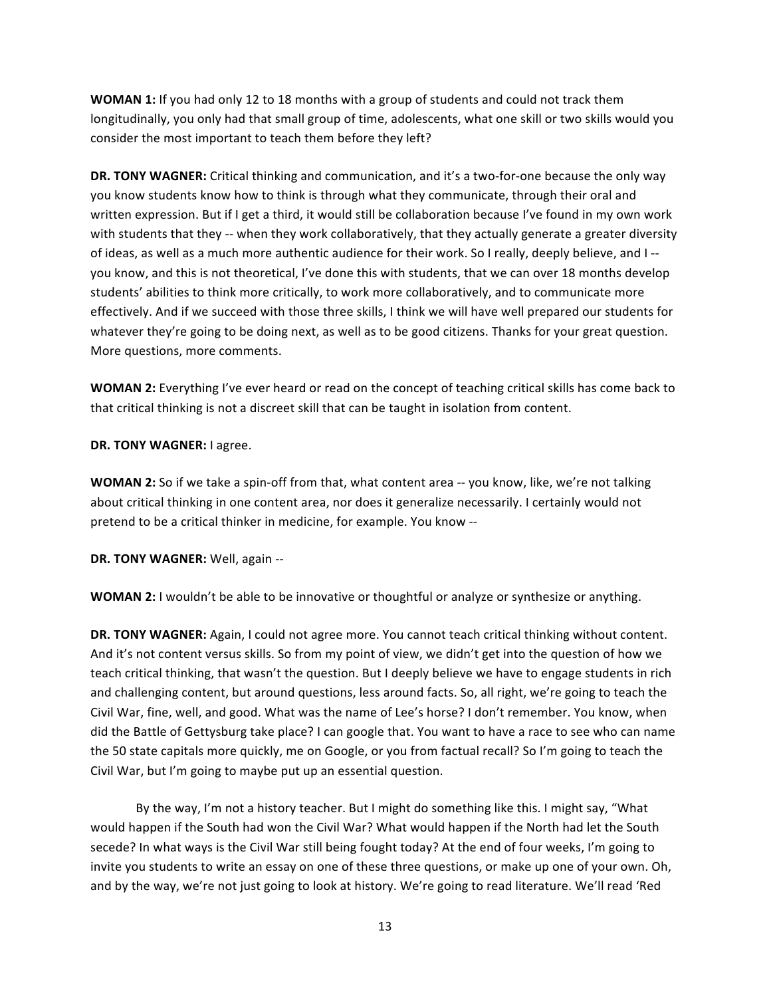**WOMAN 1:** If you had only 12 to 18 months with a group of students and could not track them longitudinally, you only had that small group of time, adolescents, what one skill or two skills would you consider the most important to teach them before they left?

**DR. TONY WAGNER:** Critical thinking and communication, and it's a two-for-one because the only way you know students know how to think is through what they communicate, through their oral and written expression. But if I get a third, it would still be collaboration because I've found in my own work with students that they -- when they work collaboratively, that they actually generate a greater diversity of ideas, as well as a much more authentic audience for their work. So I really, deeply believe, and I-you know, and this is not theoretical, I've done this with students, that we can over 18 months develop students' abilities to think more critically, to work more collaboratively, and to communicate more effectively. And if we succeed with those three skills, I think we will have well prepared our students for whatever they're going to be doing next, as well as to be good citizens. Thanks for your great question. More questions, more comments.

**WOMAN 2:** Everything I've ever heard or read on the concept of teaching critical skills has come back to that critical thinking is not a discreet skill that can be taught in isolation from content.

## **DR. TONY WAGNER: I agree.**

**WOMAN 2:** So if we take a spin-off from that, what content area -- you know, like, we're not talking about critical thinking in one content area, nor does it generalize necessarily. I certainly would not pretend to be a critical thinker in medicine, for example. You know --

**DR. TONY WAGNER:** Well, again --

**WOMAN 2:** I wouldn't be able to be innovative or thoughtful or analyze or synthesize or anything.

**DR. TONY WAGNER:** Again, I could not agree more. You cannot teach critical thinking without content. And it's not content versus skills. So from my point of view, we didn't get into the question of how we teach critical thinking, that wasn't the question. But I deeply believe we have to engage students in rich and challenging content, but around questions, less around facts. So, all right, we're going to teach the Civil War, fine, well, and good. What was the name of Lee's horse? I don't remember. You know, when did the Battle of Gettysburg take place? I can google that. You want to have a race to see who can name the 50 state capitals more quickly, me on Google, or you from factual recall? So I'm going to teach the Civil War, but I'm going to maybe put up an essential question.

By the way, I'm not a history teacher. But I might do something like this. I might say, "What would happen if the South had won the Civil War? What would happen if the North had let the South secede? In what ways is the Civil War still being fought today? At the end of four weeks, I'm going to invite you students to write an essay on one of these three questions, or make up one of your own. Oh, and by the way, we're not just going to look at history. We're going to read literature. We'll read 'Red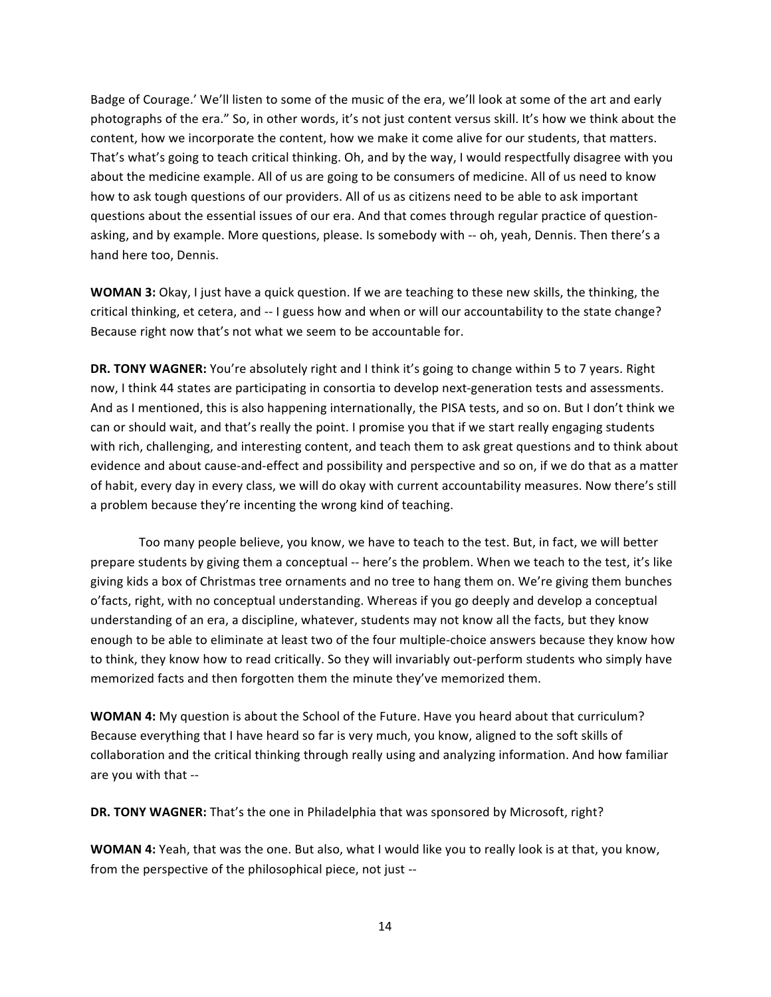Badge of Courage.' We'll listen to some of the music of the era, we'll look at some of the art and early photographs of the era." So, in other words, it's not just content versus skill. It's how we think about the content, how we incorporate the content, how we make it come alive for our students, that matters. That's what's going to teach critical thinking. Oh, and by the way, I would respectfully disagree with you about the medicine example. All of us are going to be consumers of medicine. All of us need to know how to ask tough questions of our providers. All of us as citizens need to be able to ask important questions about the essential issues of our era. And that comes through regular practice of questionasking, and by example. More questions, please. Is somebody with -- oh, yeah, Dennis. Then there's a hand here too, Dennis.

**WOMAN 3:** Okay, I just have a quick question. If we are teaching to these new skills, the thinking, the critical thinking, et cetera, and -- I guess how and when or will our accountability to the state change? Because right now that's not what we seem to be accountable for.

**DR. TONY WAGNER:** You're absolutely right and I think it's going to change within 5 to 7 years. Right now, I think 44 states are participating in consortia to develop next-generation tests and assessments. And as I mentioned, this is also happening internationally, the PISA tests, and so on. But I don't think we can or should wait, and that's really the point. I promise you that if we start really engaging students with rich, challenging, and interesting content, and teach them to ask great questions and to think about evidence and about cause-and-effect and possibility and perspective and so on, if we do that as a matter of habit, every day in every class, we will do okay with current accountability measures. Now there's still a problem because they're incenting the wrong kind of teaching.

Too many people believe, you know, we have to teach to the test. But, in fact, we will better prepare students by giving them a conceptual -- here's the problem. When we teach to the test, it's like giving kids a box of Christmas tree ornaments and no tree to hang them on. We're giving them bunches o'facts, right, with no conceptual understanding. Whereas if you go deeply and develop a conceptual understanding of an era, a discipline, whatever, students may not know all the facts, but they know enough to be able to eliminate at least two of the four multiple-choice answers because they know how to think, they know how to read critically. So they will invariably out-perform students who simply have memorized facts and then forgotten them the minute they've memorized them.

**WOMAN 4:** My question is about the School of the Future. Have you heard about that curriculum? Because everything that I have heard so far is very much, you know, aligned to the soft skills of collaboration and the critical thinking through really using and analyzing information. And how familiar are you with that --

**DR. TONY WAGNER:** That's the one in Philadelphia that was sponsored by Microsoft, right?

**WOMAN 4:** Yeah, that was the one. But also, what I would like you to really look is at that, you know, from the perspective of the philosophical piece, not just --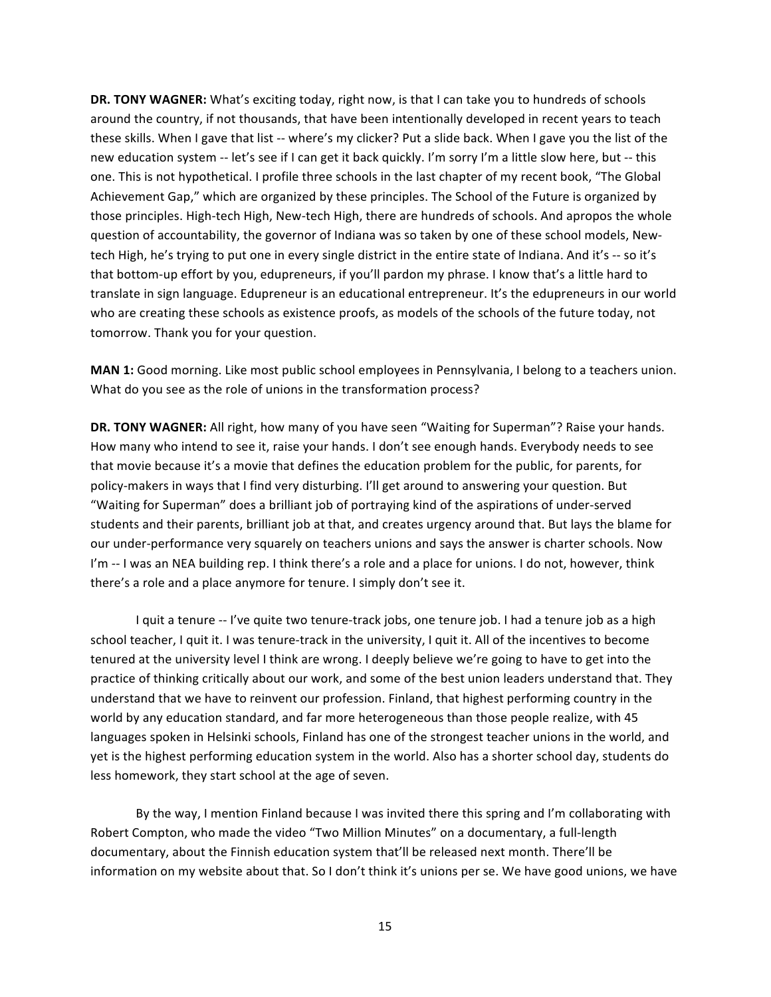**DR. TONY WAGNER:** What's exciting today, right now, is that I can take you to hundreds of schools around the country, if not thousands, that have been intentionally developed in recent years to teach these skills. When I gave that list -- where's my clicker? Put a slide back. When I gave you the list of the new education system -- let's see if I can get it back quickly. I'm sorry I'm a little slow here, but -- this one. This is not hypothetical. I profile three schools in the last chapter of my recent book, "The Global" Achievement Gap," which are organized by these principles. The School of the Future is organized by those principles. High-tech High, New-tech High, there are hundreds of schools. And apropos the whole question of accountability, the governor of Indiana was so taken by one of these school models, Newtech High, he's trying to put one in every single district in the entire state of Indiana. And it's -- so it's that bottom-up effort by you, edupreneurs, if you'll pardon my phrase. I know that's a little hard to translate in sign language. Edupreneur is an educational entrepreneur. It's the edupreneurs in our world who are creating these schools as existence proofs, as models of the schools of the future today, not tomorrow. Thank you for your question.

**MAN 1:** Good morning. Like most public school employees in Pennsylvania, I belong to a teachers union. What do you see as the role of unions in the transformation process?

**DR. TONY WAGNER:** All right, how many of you have seen "Waiting for Superman"? Raise your hands. How many who intend to see it, raise your hands. I don't see enough hands. Everybody needs to see that movie because it's a movie that defines the education problem for the public, for parents, for policy-makers in ways that I find very disturbing. I'll get around to answering your question. But "Waiting for Superman" does a brilliant job of portraying kind of the aspirations of under-served students and their parents, brilliant job at that, and creates urgency around that. But lays the blame for our under-performance very squarely on teachers unions and says the answer is charter schools. Now I'm -- I was an NEA building rep. I think there's a role and a place for unions. I do not, however, think there's a role and a place anymore for tenure. I simply don't see it.

I quit a tenure -- I've quite two tenure-track jobs, one tenure job. I had a tenure job as a high school teacher, I quit it. I was tenure-track in the university, I quit it. All of the incentives to become tenured at the university level I think are wrong. I deeply believe we're going to have to get into the practice of thinking critically about our work, and some of the best union leaders understand that. They understand that we have to reinvent our profession. Finland, that highest performing country in the world by any education standard, and far more heterogeneous than those people realize, with 45 languages spoken in Helsinki schools, Finland has one of the strongest teacher unions in the world, and yet is the highest performing education system in the world. Also has a shorter school day, students do less homework, they start school at the age of seven.

By the way, I mention Finland because I was invited there this spring and I'm collaborating with Robert Compton, who made the video "Two Million Minutes" on a documentary, a full-length documentary, about the Finnish education system that'll be released next month. There'll be information on my website about that. So I don't think it's unions per se. We have good unions, we have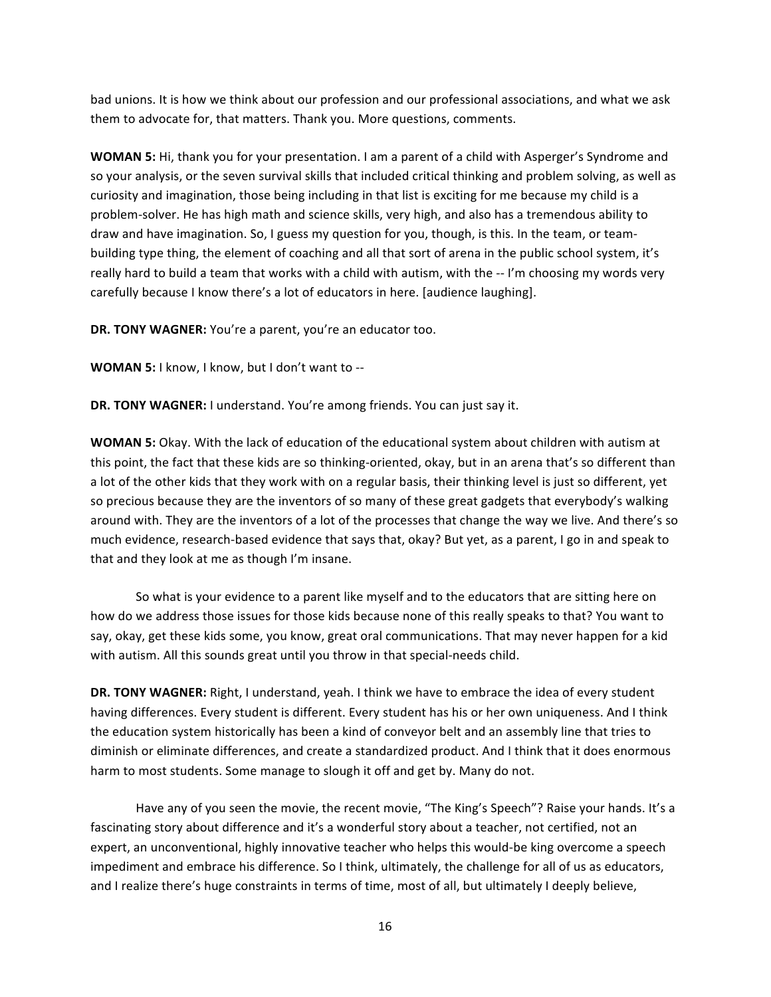bad unions. It is how we think about our profession and our professional associations, and what we ask them to advocate for, that matters. Thank you. More questions, comments.

**WOMAN 5:** Hi, thank you for your presentation. I am a parent of a child with Asperger's Syndrome and so your analysis, or the seven survival skills that included critical thinking and problem solving, as well as curiosity and imagination, those being including in that list is exciting for me because my child is a problem-solver. He has high math and science skills, very high, and also has a tremendous ability to draw and have imagination. So, I guess my question for you, though, is this. In the team, or teambuilding type thing, the element of coaching and all that sort of arena in the public school system, it's really hard to build a team that works with a child with autism, with the -- I'm choosing my words very carefully because I know there's a lot of educators in here. [audience laughing].

**DR. TONY WAGNER:** You're a parent, you're an educator too.

**WOMAN 5:** I know, I know, but I don't want to --

**DR. TONY WAGNER:** I understand. You're among friends. You can just say it.

WOMAN 5: Okay. With the lack of education of the educational system about children with autism at this point, the fact that these kids are so thinking-oriented, okay, but in an arena that's so different than a lot of the other kids that they work with on a regular basis, their thinking level is just so different, yet so precious because they are the inventors of so many of these great gadgets that everybody's walking around with. They are the inventors of a lot of the processes that change the way we live. And there's so much evidence, research-based evidence that says that, okay? But yet, as a parent, I go in and speak to that and they look at me as though I'm insane.

So what is your evidence to a parent like myself and to the educators that are sitting here on how do we address those issues for those kids because none of this really speaks to that? You want to say, okay, get these kids some, you know, great oral communications. That may never happen for a kid with autism. All this sounds great until you throw in that special-needs child.

DR. TONY WAGNER: Right, I understand, yeah. I think we have to embrace the idea of every student having differences. Every student is different. Every student has his or her own uniqueness. And I think the education system historically has been a kind of conveyor belt and an assembly line that tries to diminish or eliminate differences, and create a standardized product. And I think that it does enormous harm to most students. Some manage to slough it off and get by. Many do not.

Have any of you seen the movie, the recent movie, "The King's Speech"? Raise your hands. It's a fascinating story about difference and it's a wonderful story about a teacher, not certified, not an expert, an unconventional, highly innovative teacher who helps this would-be king overcome a speech impediment and embrace his difference. So I think, ultimately, the challenge for all of us as educators, and I realize there's huge constraints in terms of time, most of all, but ultimately I deeply believe,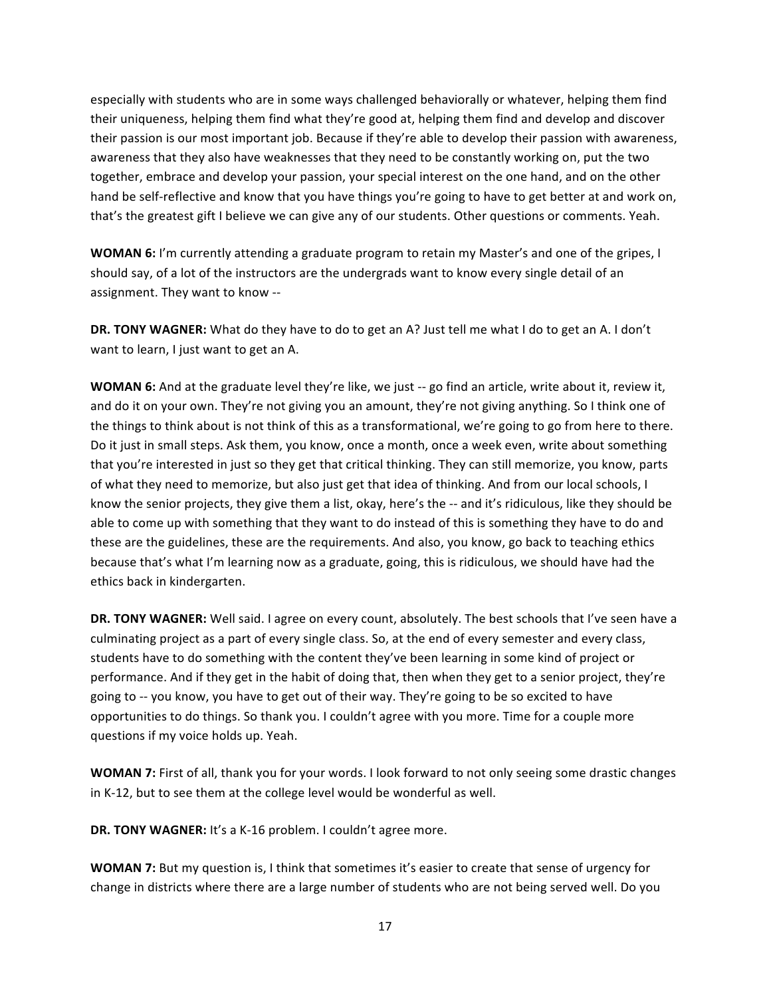especially with students who are in some ways challenged behaviorally or whatever, helping them find their uniqueness, helping them find what they're good at, helping them find and develop and discover their passion is our most important job. Because if they're able to develop their passion with awareness, awareness that they also have weaknesses that they need to be constantly working on, put the two together, embrace and develop your passion, your special interest on the one hand, and on the other hand be self-reflective and know that you have things you're going to have to get better at and work on, that's the greatest gift I believe we can give any of our students. Other questions or comments. Yeah.

**WOMAN 6:** I'm currently attending a graduate program to retain my Master's and one of the gripes, I should say, of a lot of the instructors are the undergrads want to know every single detail of an assignment. They want to know --

**DR. TONY WAGNER:** What do they have to do to get an A? Just tell me what I do to get an A. I don't want to learn, I just want to get an A.

**WOMAN 6:** And at the graduate level they're like, we just -- go find an article, write about it, review it, and do it on your own. They're not giving you an amount, they're not giving anything. So I think one of the things to think about is not think of this as a transformational, we're going to go from here to there. Do it just in small steps. Ask them, you know, once a month, once a week even, write about something that you're interested in just so they get that critical thinking. They can still memorize, you know, parts of what they need to memorize, but also just get that idea of thinking. And from our local schools, I know the senior projects, they give them a list, okay, here's the -- and it's ridiculous, like they should be able to come up with something that they want to do instead of this is something they have to do and these are the guidelines, these are the requirements. And also, you know, go back to teaching ethics because that's what I'm learning now as a graduate, going, this is ridiculous, we should have had the ethics back in kindergarten.

**DR. TONY WAGNER:** Well said. I agree on every count, absolutely. The best schools that I've seen have a culminating project as a part of every single class. So, at the end of every semester and every class, students have to do something with the content they've been learning in some kind of project or performance. And if they get in the habit of doing that, then when they get to a senior project, they're going to -- you know, you have to get out of their way. They're going to be so excited to have opportunities to do things. So thank you. I couldn't agree with you more. Time for a couple more questions if my voice holds up. Yeah.

**WOMAN 7:** First of all, thank you for your words. I look forward to not only seeing some drastic changes in K-12, but to see them at the college level would be wonderful as well.

**DR. TONY WAGNER:** It's a K-16 problem. I couldn't agree more.

**WOMAN 7:** But my question is, I think that sometimes it's easier to create that sense of urgency for change in districts where there are a large number of students who are not being served well. Do you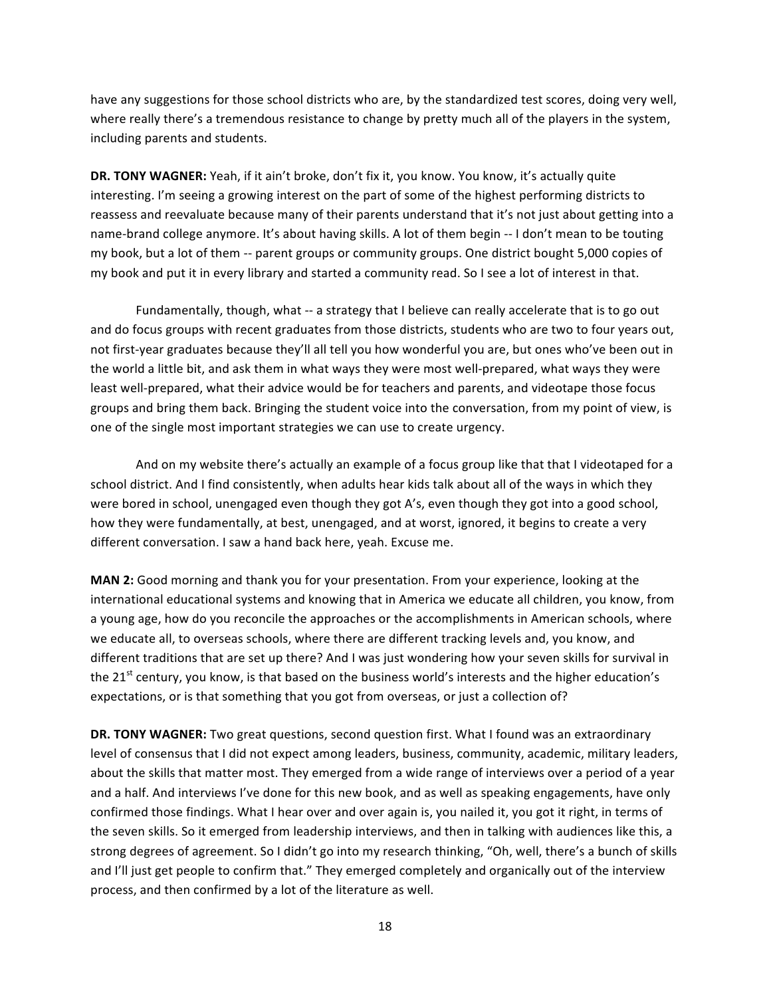have any suggestions for those school districts who are, by the standardized test scores, doing very well, where really there's a tremendous resistance to change by pretty much all of the players in the system, including parents and students.

**DR. TONY WAGNER:** Yeah, if it ain't broke, don't fix it, you know. You know, it's actually quite interesting. I'm seeing a growing interest on the part of some of the highest performing districts to reassess and reevaluate because many of their parents understand that it's not just about getting into a name-brand college anymore. It's about having skills. A lot of them begin -- I don't mean to be touting my book, but a lot of them -- parent groups or community groups. One district bought 5,000 copies of my book and put it in every library and started a community read. So I see a lot of interest in that.

Fundamentally, though, what -- a strategy that I believe can really accelerate that is to go out and do focus groups with recent graduates from those districts, students who are two to four years out, not first-year graduates because they'll all tell you how wonderful you are, but ones who've been out in the world a little bit, and ask them in what ways they were most well-prepared, what ways they were least well-prepared, what their advice would be for teachers and parents, and videotape those focus groups and bring them back. Bringing the student voice into the conversation, from my point of view, is one of the single most important strategies we can use to create urgency.

And on my website there's actually an example of a focus group like that that I videotaped for a school district. And I find consistently, when adults hear kids talk about all of the ways in which they were bored in school, unengaged even though they got A's, even though they got into a good school, how they were fundamentally, at best, unengaged, and at worst, ignored, it begins to create a very different conversation. I saw a hand back here, yeah. Excuse me.

MAN 2: Good morning and thank you for your presentation. From your experience, looking at the international educational systems and knowing that in America we educate all children, you know, from a young age, how do you reconcile the approaches or the accomplishments in American schools, where we educate all, to overseas schools, where there are different tracking levels and, you know, and different traditions that are set up there? And I was just wondering how your seven skills for survival in the 21<sup>st</sup> century, you know, is that based on the business world's interests and the higher education's expectations, or is that something that you got from overseas, or just a collection of?

**DR. TONY WAGNER:** Two great questions, second question first. What I found was an extraordinary level of consensus that I did not expect among leaders, business, community, academic, military leaders, about the skills that matter most. They emerged from a wide range of interviews over a period of a year and a half. And interviews I've done for this new book, and as well as speaking engagements, have only confirmed those findings. What I hear over and over again is, you nailed it, you got it right, in terms of the seven skills. So it emerged from leadership interviews, and then in talking with audiences like this, a strong degrees of agreement. So I didn't go into my research thinking, "Oh, well, there's a bunch of skills and I'll just get people to confirm that." They emerged completely and organically out of the interview process, and then confirmed by a lot of the literature as well.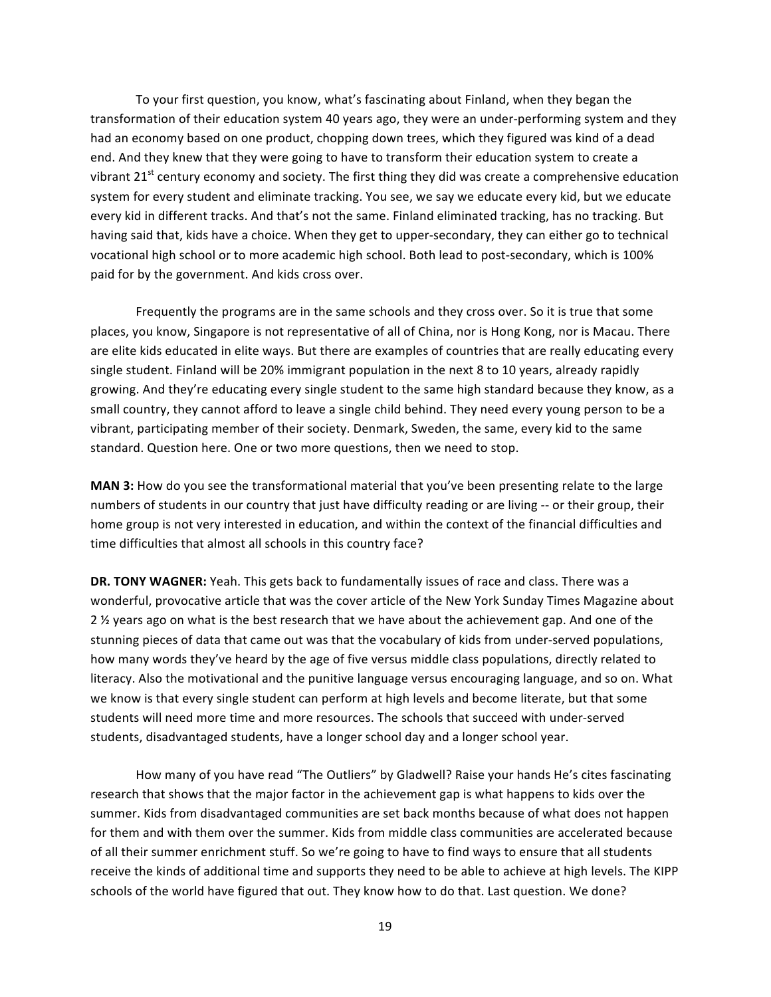To your first question, you know, what's fascinating about Finland, when they began the transformation of their education system 40 years ago, they were an under-performing system and they had an economy based on one product, chopping down trees, which they figured was kind of a dead end. And they knew that they were going to have to transform their education system to create a vibrant 21<sup>st</sup> century economy and society. The first thing they did was create a comprehensive education system for every student and eliminate tracking. You see, we say we educate every kid, but we educate every kid in different tracks. And that's not the same. Finland eliminated tracking, has no tracking. But having said that, kids have a choice. When they get to upper-secondary, they can either go to technical vocational high school or to more academic high school. Both lead to post-secondary, which is 100% paid for by the government. And kids cross over.

Frequently the programs are in the same schools and they cross over. So it is true that some places, you know, Singapore is not representative of all of China, nor is Hong Kong, nor is Macau. There are elite kids educated in elite ways. But there are examples of countries that are really educating every single student. Finland will be 20% immigrant population in the next 8 to 10 years, already rapidly growing. And they're educating every single student to the same high standard because they know, as a small country, they cannot afford to leave a single child behind. They need every young person to be a vibrant, participating member of their society. Denmark, Sweden, the same, every kid to the same standard. Question here. One or two more questions, then we need to stop.

**MAN 3:** How do you see the transformational material that you've been presenting relate to the large numbers of students in our country that just have difficulty reading or are living -- or their group, their home group is not very interested in education, and within the context of the financial difficulties and time difficulties that almost all schools in this country face?

DR. TONY WAGNER: Yeah. This gets back to fundamentally issues of race and class. There was a wonderful, provocative article that was the cover article of the New York Sunday Times Magazine about 2 % years ago on what is the best research that we have about the achievement gap. And one of the stunning pieces of data that came out was that the vocabulary of kids from under-served populations, how many words they've heard by the age of five versus middle class populations, directly related to literacy. Also the motivational and the punitive language versus encouraging language, and so on. What we know is that every single student can perform at high levels and become literate, but that some students will need more time and more resources. The schools that succeed with under-served students, disadvantaged students, have a longer school day and a longer school year.

How many of you have read "The Outliers" by Gladwell? Raise your hands He's cites fascinating research that shows that the major factor in the achievement gap is what happens to kids over the summer. Kids from disadvantaged communities are set back months because of what does not happen for them and with them over the summer. Kids from middle class communities are accelerated because of all their summer enrichment stuff. So we're going to have to find ways to ensure that all students receive the kinds of additional time and supports they need to be able to achieve at high levels. The KIPP schools of the world have figured that out. They know how to do that. Last question. We done?